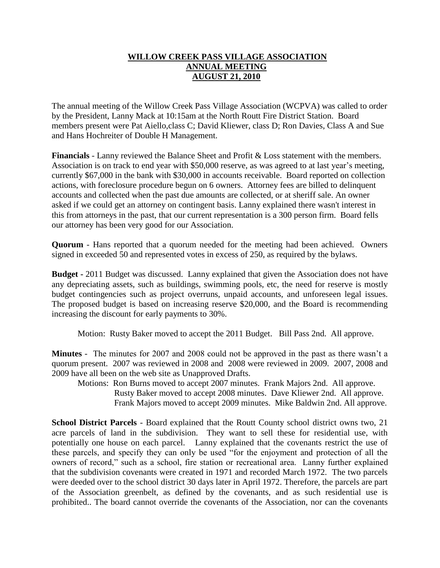## **WILLOW CREEK PASS VILLAGE ASSOCIATION ANNUAL MEETING AUGUST 21, 2010**

The annual meeting of the Willow Creek Pass Village Association (WCPVA) was called to order by the President, Lanny Mack at 10:15am at the North Routt Fire District Station. Board members present were Pat Aiello,class C; David Kliewer, class D; Ron Davies, Class A and Sue and Hans Hochreiter of Double H Management.

**Financials** - Lanny reviewed the Balance Sheet and Profit & Loss statement with the members. Association is on track to end year with \$50,000 reserve, as was agreed to at last year's meeting, currently \$67,000 in the bank with \$30,000 in accounts receivable. Board reported on collection actions, with foreclosure procedure begun on 6 owners. Attorney fees are billed to delinquent accounts and collected when the past due amounts are collected, or at sheriff sale. An owner asked if we could get an attorney on contingent basis. Lanny explained there wasn't interest in this from attorneys in the past, that our current representation is a 300 person firm. Board fells our attorney has been very good for our Association.

**Quorum** - Hans reported that a quorum needed for the meeting had been achieved. Owners signed in exceeded 50 and represented votes in excess of 250, as required by the bylaws.

**Budget -** 2011 Budget was discussed. Lanny explained that given the Association does not have any depreciating assets, such as buildings, swimming pools, etc, the need for reserve is mostly budget contingencies such as project overruns, unpaid accounts, and unforeseen legal issues. The proposed budget is based on increasing reserve \$20,000, and the Board is recommending increasing the discount for early payments to 30%.

Motion: Rusty Baker moved to accept the 2011 Budget. Bill Pass 2nd. All approve.

**Minutes** - The minutes for 2007 and 2008 could not be approved in the past as there wasn't a quorum present. 2007 was reviewed in 2008 and 2008 were reviewed in 2009. 2007, 2008 and 2009 have all been on the web site as Unapproved Drafts.

Motions: Ron Burns moved to accept 2007 minutes. Frank Majors 2nd. All approve. Rusty Baker moved to accept 2008 minutes. Dave Kliewer 2nd. All approve. Frank Majors moved to accept 2009 minutes. Mike Baldwin 2nd. All approve.

**School District Parcels** - Board explained that the Routt County school district owns two, 21 acre parcels of land in the subdivision. They want to sell these for residential use, with potentially one house on each parcel. Lanny explained that the covenants restrict the use of these parcels, and specify they can only be used "for the enjoyment and protection of all the owners of record," such as a school, fire station or recreational area. Lanny further explained that the subdivision covenants were created in 1971 and recorded March 1972. The two parcels were deeded over to the school district 30 days later in April 1972. Therefore, the parcels are part of the Association greenbelt, as defined by the covenants, and as such residential use is prohibited.. The board cannot override the covenants of the Association, nor can the covenants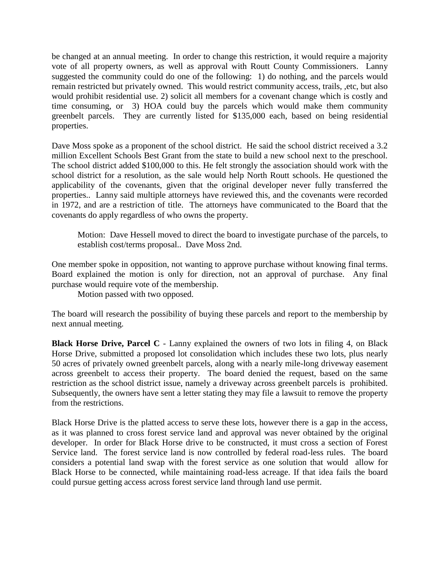be changed at an annual meeting. In order to change this restriction, it would require a majority vote of all property owners, as well as approval with Routt County Commissioners. Lanny suggested the community could do one of the following: 1) do nothing, and the parcels would remain restricted but privately owned. This would restrict community access, trails, ,etc, but also would prohibit residential use. 2) solicit all members for a covenant change which is costly and time consuming, or 3) HOA could buy the parcels which would make them community greenbelt parcels. They are currently listed for \$135,000 each, based on being residential properties.

Dave Moss spoke as a proponent of the school district. He said the school district received a 3.2 million Excellent Schools Best Grant from the state to build a new school next to the preschool. The school district added \$100,000 to this. He felt strongly the association should work with the school district for a resolution, as the sale would help North Routt schools. He questioned the applicability of the covenants, given that the original developer never fully transferred the properties.. Lanny said multiple attorneys have reviewed this, and the covenants were recorded in 1972, and are a restriction of title. The attorneys have communicated to the Board that the covenants do apply regardless of who owns the property.

Motion: Dave Hessell moved to direct the board to investigate purchase of the parcels, to establish cost/terms proposal.. Dave Moss 2nd.

One member spoke in opposition, not wanting to approve purchase without knowing final terms. Board explained the motion is only for direction, not an approval of purchase. Any final purchase would require vote of the membership.

Motion passed with two opposed.

The board will research the possibility of buying these parcels and report to the membership by next annual meeting.

**Black Horse Drive, Parcel C** - Lanny explained the owners of two lots in filing 4, on Black Horse Drive, submitted a proposed lot consolidation which includes these two lots, plus nearly 50 acres of privately owned greenbelt parcels, along with a nearly mile-long driveway easement across greenbelt to access their property. The board denied the request, based on the same restriction as the school district issue, namely a driveway across greenbelt parcels is prohibited. Subsequently, the owners have sent a letter stating they may file a lawsuit to remove the property from the restrictions.

Black Horse Drive is the platted access to serve these lots, however there is a gap in the access, as it was planned to cross forest service land and approval was never obtained by the original developer. In order for Black Horse drive to be constructed, it must cross a section of Forest Service land. The forest service land is now controlled by federal road-less rules. The board considers a potential land swap with the forest service as one solution that would allow for Black Horse to be connected, while maintaining road-less acreage. If that idea fails the board could pursue getting access across forest service land through land use permit.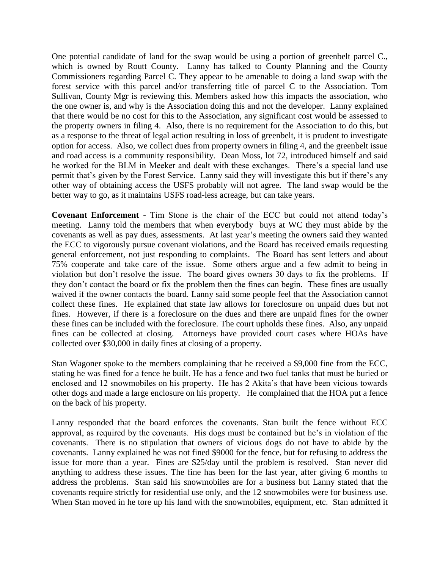One potential candidate of land for the swap would be using a portion of greenbelt parcel C., which is owned by Routt County. Lanny has talked to County Planning and the County Commissioners regarding Parcel C. They appear to be amenable to doing a land swap with the forest service with this parcel and/or transferring title of parcel C to the Association. Tom Sullivan, County Mgr is reviewing this. Members asked how this impacts the association, who the one owner is, and why is the Association doing this and not the developer. Lanny explained that there would be no cost for this to the Association, any significant cost would be assessed to the property owners in filing 4. Also, there is no requirement for the Association to do this, but as a response to the threat of legal action resulting in loss of greenbelt, it is prudent to investigate option for access. Also, we collect dues from property owners in filing 4, and the greenbelt issue and road access is a community responsibility. Dean Moss, lot 72, introduced himself and said he worked for the BLM in Meeker and dealt with these exchanges. There's a special land use permit that's given by the Forest Service. Lanny said they will investigate this but if there's any other way of obtaining access the USFS probably will not agree. The land swap would be the better way to go, as it maintains USFS road-less acreage, but can take years.

**Covenant Enforcement** - Tim Stone is the chair of the ECC but could not attend today's meeting. Lanny told the members that when everybody buys at WC they must abide by the covenants as well as pay dues, assessments. At last year's meeting the owners said they wanted the ECC to vigorously pursue covenant violations, and the Board has received emails requesting general enforcement, not just responding to complaints. The Board has sent letters and about 75% cooperate and take care of the issue. Some others argue and a few admit to being in violation but don't resolve the issue. The board gives owners 30 days to fix the problems. If they don't contact the board or fix the problem then the fines can begin. These fines are usually waived if the owner contacts the board. Lanny said some people feel that the Association cannot collect these fines. He explained that state law allows for foreclosure on unpaid dues but not fines. However, if there is a foreclosure on the dues and there are unpaid fines for the owner these fines can be included with the foreclosure. The court upholds these fines. Also, any unpaid fines can be collected at closing. Attorneys have provided court cases where HOAs have collected over \$30,000 in daily fines at closing of a property.

Stan Wagoner spoke to the members complaining that he received a \$9,000 fine from the ECC, stating he was fined for a fence he built. He has a fence and two fuel tanks that must be buried or enclosed and 12 snowmobiles on his property. He has 2 Akita's that have been vicious towards other dogs and made a large enclosure on his property. He complained that the HOA put a fence on the back of his property.

Lanny responded that the board enforces the covenants. Stan built the fence without ECC approval, as required by the covenants. His dogs must be contained but he's in violation of the covenants. There is no stipulation that owners of vicious dogs do not have to abide by the covenants. Lanny explained he was not fined \$9000 for the fence, but for refusing to address the issue for more than a year. Fines are \$25/day until the problem is resolved. Stan never did anything to address these issues. The fine has been for the last year, after giving 6 months to address the problems. Stan said his snowmobiles are for a business but Lanny stated that the covenants require strictly for residential use only, and the 12 snowmobiles were for business use. When Stan moved in he tore up his land with the snowmobiles, equipment, etc. Stan admitted it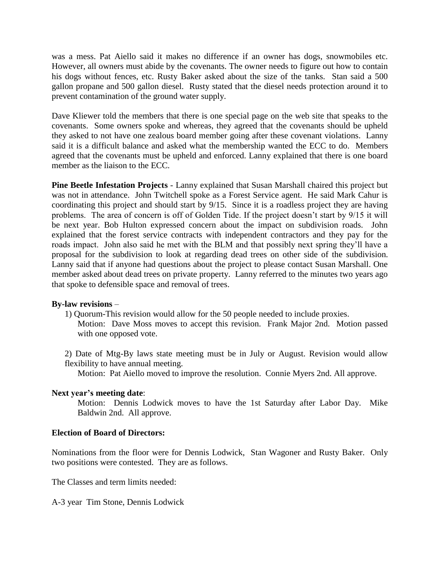was a mess. Pat Aiello said it makes no difference if an owner has dogs, snowmobiles etc. However, all owners must abide by the covenants. The owner needs to figure out how to contain his dogs without fences, etc. Rusty Baker asked about the size of the tanks. Stan said a 500 gallon propane and 500 gallon diesel. Rusty stated that the diesel needs protection around it to prevent contamination of the ground water supply.

Dave Kliewer told the members that there is one special page on the web site that speaks to the covenants. Some owners spoke and whereas, they agreed that the covenants should be upheld they asked to not have one zealous board member going after these covenant violations. Lanny said it is a difficult balance and asked what the membership wanted the ECC to do. Members agreed that the covenants must be upheld and enforced. Lanny explained that there is one board member as the liaison to the ECC.

**Pine Beetle Infestation Projects** - Lanny explained that Susan Marshall chaired this project but was not in attendance. John Twitchell spoke as a Forest Service agent. He said Mark Cahur is coordinating this project and should start by 9/15. Since it is a roadless project they are having problems. The area of concern is off of Golden Tide. If the project doesn't start by 9/15 it will be next year. Bob Hulton expressed concern about the impact on subdivision roads. John explained that the forest service contracts with independent contractors and they pay for the roads impact. John also said he met with the BLM and that possibly next spring they'll have a proposal for the subdivision to look at regarding dead trees on other side of the subdivision. Lanny said that if anyone had questions about the project to please contact Susan Marshall. One member asked about dead trees on private property. Lanny referred to the minutes two years ago that spoke to defensible space and removal of trees.

## **By-law revisions** –

1) Quorum-This revision would allow for the 50 people needed to include proxies.

Motion: Dave Moss moves to accept this revision. Frank Major 2nd. Motion passed with one opposed vote.

2) Date of Mtg-By laws state meeting must be in July or August. Revision would allow flexibility to have annual meeting.

Motion: Pat Aiello moved to improve the resolution. Connie Myers 2nd. All approve.

## **Next year's meeting date**:

Motion: Dennis Lodwick moves to have the 1st Saturday after Labor Day. Mike Baldwin 2nd. All approve.

## **Election of Board of Directors:**

Nominations from the floor were for Dennis Lodwick, Stan Wagoner and Rusty Baker. Only two positions were contested. They are as follows.

The Classes and term limits needed:

A-3 year Tim Stone, Dennis Lodwick